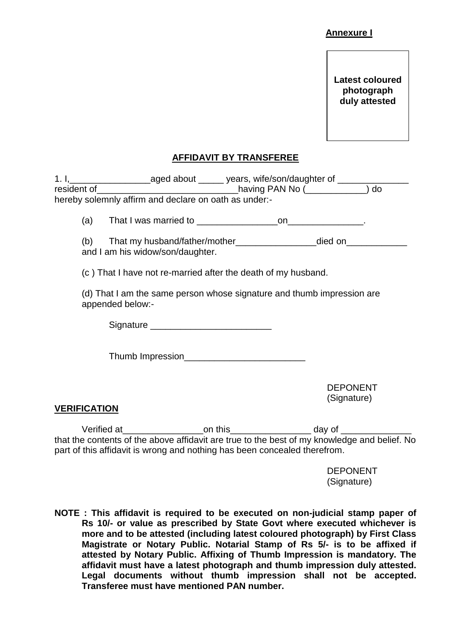## **Annexure I**

**Latest coloured photograph duly attested**

## **AFFIDAVIT BY TRANSFEREE**

|                                                                                            | 1. I, __________________________aged about _______ years, wife/son/daughter of ____________________<br>hereby solemnly affirm and declare on oath as under:-                                                                                                         |  |                                |  |  |  |  |
|--------------------------------------------------------------------------------------------|----------------------------------------------------------------------------------------------------------------------------------------------------------------------------------------------------------------------------------------------------------------------|--|--------------------------------|--|--|--|--|
|                                                                                            |                                                                                                                                                                                                                                                                      |  |                                |  |  |  |  |
|                                                                                            | (b) That my husband/father/mother_________________________died on_______________<br>and I am his widow/son/daughter.                                                                                                                                                 |  |                                |  |  |  |  |
| (c) That I have not re-married after the death of my husband.                              |                                                                                                                                                                                                                                                                      |  |                                |  |  |  |  |
| (d) That I am the same person whose signature and thumb impression are<br>appended below:- |                                                                                                                                                                                                                                                                      |  |                                |  |  |  |  |
|                                                                                            |                                                                                                                                                                                                                                                                      |  |                                |  |  |  |  |
|                                                                                            |                                                                                                                                                                                                                                                                      |  |                                |  |  |  |  |
|                                                                                            |                                                                                                                                                                                                                                                                      |  | <b>DEPONENT</b><br>(Signature) |  |  |  |  |
| <b>VERIFICATION</b>                                                                        |                                                                                                                                                                                                                                                                      |  |                                |  |  |  |  |
|                                                                                            | Verified at ________________________on this_________________________ day of ___________<br>that the contents of the above affidavit are true to the best of my knowledge and belief. No<br>part of this affidavit is wrong and nothing has been concealed therefrom. |  |                                |  |  |  |  |

DEPONENT (Signature)

**NOTE : This affidavit is required to be executed on non-judicial stamp paper of Rs 10/- or value as prescribed by State Govt where executed whichever is more and to be attested (including latest coloured photograph) by First Class Magistrate or Notary Public. Notarial Stamp of Rs 5/- is to be affixed if attested by Notary Public. Affixing of Thumb Impression is mandatory. The affidavit must have a latest photograph and thumb impression duly attested. Legal documents without thumb impression shall not be accepted. Transferee must have mentioned PAN number.**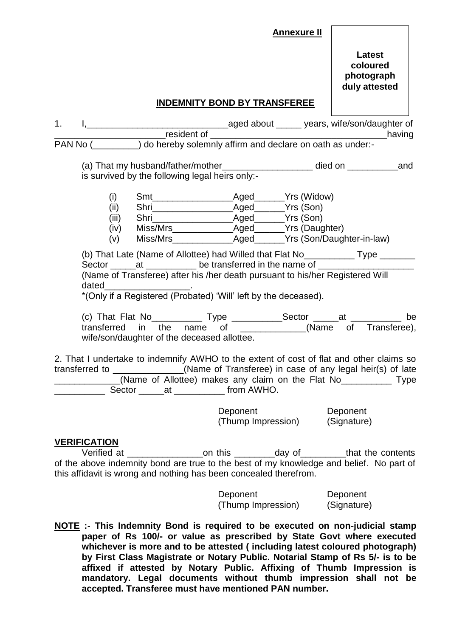## **Annexure II**

## **INDEMNITY BOND BY TRANSFEREE**

| 1.                                                                                                                                                                                                                                                                                                                                                                                                                                                           |                      |                                                                                                                                                                                                       |                          |                                |          |  |
|--------------------------------------------------------------------------------------------------------------------------------------------------------------------------------------------------------------------------------------------------------------------------------------------------------------------------------------------------------------------------------------------------------------------------------------------------------------|----------------------|-------------------------------------------------------------------------------------------------------------------------------------------------------------------------------------------------------|--------------------------|--------------------------------|----------|--|
|                                                                                                                                                                                                                                                                                                                                                                                                                                                              |                      | PAN No ( interface) do hereby solemnly affirm and declare on oath as under-                                                                                                                           |                          |                                |          |  |
|                                                                                                                                                                                                                                                                                                                                                                                                                                                              |                      | is survived by the following legal heirs only:-                                                                                                                                                       |                          |                                |          |  |
|                                                                                                                                                                                                                                                                                                                                                                                                                                                              | (i)<br>(ii)<br>(iii) |                                                                                                                                                                                                       |                          |                                |          |  |
| (b) That Late (Name of Allottee) had Willed that Flat No_____________ Type ______<br>Sector ______at ____________ be transferred in the name of _____________________<br>(Name of Transferee) after his /her death pursuant to his/her Registered Will<br>dated<br><u> 1989 - Johann John Harry Harry Harry Harry Harry Harry Harry Harry Harry Harry Harry Harry Harry Harry Harry H</u><br>*(Only if a Registered (Probated) 'Will' left by the deceased). |                      |                                                                                                                                                                                                       |                          |                                |          |  |
|                                                                                                                                                                                                                                                                                                                                                                                                                                                              |                      | (c) That Flat No _______________ Type ______________Sector ______at _____________ be<br>transferred in the name of ______________(Name of Transferee),<br>wife/son/daughter of the deceased allottee. |                          |                                |          |  |
| 2. That I undertake to indemnify AWHO to the extent of cost of flat and other claims so<br>transferred to _____________(Name of Transferee) in case of any legal heir(s) of late<br>(Name of Allottee) makes any claim on the Flat No_____________ Type                                                                                                                                                                                                      |                      |                                                                                                                                                                                                       |                          |                                |          |  |
|                                                                                                                                                                                                                                                                                                                                                                                                                                                              |                      |                                                                                                                                                                                                       | <b>Deponent Deponent</b> | (Thump Impression) (Signature) | Deponent |  |
|                                                                                                                                                                                                                                                                                                                                                                                                                                                              | <b>VERIFICATION</b>  |                                                                                                                                                                                                       |                          |                                |          |  |

Verified at \_\_\_\_\_\_\_\_\_\_\_\_\_\_\_on this \_\_\_\_\_\_\_\_day of\_\_\_\_\_\_\_\_\_that the contents of the above indemnity bond are true to the best of my knowledge and belief. No part of this affidavit is wrong and nothing has been concealed therefrom.

> Deponent Deponent (Thump Impression) (Signature)

**NOTE :- This Indemnity Bond is required to be executed on non-judicial stamp paper of Rs 100/- or value as prescribed by State Govt where executed whichever is more and to be attested ( including latest coloured photograph) by First Class Magistrate or Notary Public. Notarial Stamp of Rs 5/- is to be affixed if attested by Notary Public. Affixing of Thumb Impression is mandatory. Legal documents without thumb impression shall not be accepted. Transferee must have mentioned PAN number.**